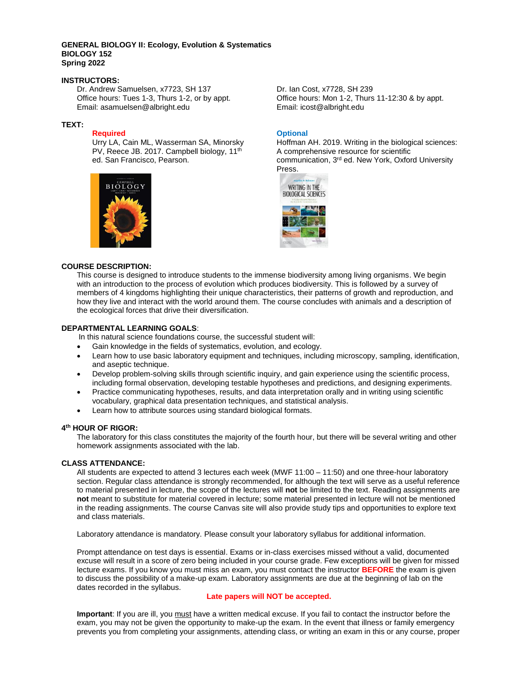### **GENERAL BIOLOGY II: Ecology, Evolution & Systematics BIOLOGY 152 Spring 2022**

# **INSTRUCTORS:**

Dr. Andrew Samuelsen, x7723, SH 137 Dr. Ian Cost, x7728, SH 239<br>Office hours: Tues 1-3, Thurs 1-2, or by appt. Office hours: Mon 1-2, Thurs Email: asamuelsen@albright.edu Email: icost@albright.edu

### **TEXT:**

### **Required**

Urry LA, Cain ML, Wasserman SA, Minorsky PV, Reece JB. 2017. Campbell biology, 11<sup>th</sup> ed. San Francisco, Pearson.



Office hours: Mon 1-2, Thurs 11-12:30 & by appt.

### **Optional**

Hoffman AH. 2019. Writing in the biological sciences: A comprehensive resource for scientific communication, 3<sup>rd</sup> ed. New York, Oxford University Press.



#### **COURSE DESCRIPTION:**

This course is designed to introduce students to the immense biodiversity among living organisms. We begin with an introduction to the process of evolution which produces biodiversity. This is followed by a survey of members of 4 kingdoms highlighting their unique characteristics, their patterns of growth and reproduction, and how they live and interact with the world around them. The course concludes with animals and a description of the ecological forces that drive their diversification.

### **DEPARTMENTAL LEARNING GOALS**:

In this natural science foundations course, the successful student will:

- Gain knowledge in the fields of systematics, evolution, and ecology.
- Learn how to use basic laboratory equipment and techniques, including microscopy, sampling, identification, and aseptic technique.
- Develop problem-solving skills through scientific inquiry, and gain experience using the scientific process, including formal observation, developing testable hypotheses and predictions, and designing experiments.
- Practice communicating hypotheses, results, and data interpretation orally and in writing using scientific vocabulary, graphical data presentation techniques, and statistical analysis.
- Learn how to attribute sources using standard biological formats.

## **4 th HOUR OF RIGOR:**

The laboratory for this class constitutes the majority of the fourth hour, but there will be several writing and other homework assignments associated with the lab.

### **CLASS ATTENDANCE:**

All students are expected to attend 3 lectures each week (MWF 11:00 – 11:50) and one three-hour laboratory section. Regular class attendance is strongly recommended, for although the text will serve as a useful reference to material presented in lecture, the scope of the lectures will **not** be limited to the text. Reading assignments are **not** meant to substitute for material covered in lecture; some material presented in lecture will not be mentioned in the reading assignments. The course Canvas site will also provide study tips and opportunities to explore text and class materials.

Laboratory attendance is mandatory. Please consult your laboratory syllabus for additional information.

Prompt attendance on test days is essential. Exams or in-class exercises missed without a valid, documented excuse will result in a score of zero being included in your course grade. Few exceptions will be given for missed lecture exams. If you know you must miss an exam, you must contact the instructor **BEFORE** the exam is given to discuss the possibility of a make-up exam. Laboratory assignments are due at the beginning of lab on the dates recorded in the syllabus.

## **Late papers will NOT be accepted.**

**Important**: If you are ill, you must have a written medical excuse. If you fail to contact the instructor before the exam, you may not be given the opportunity to make-up the exam. In the event that illness or family emergency prevents you from completing your assignments, attending class, or writing an exam in this or any course, proper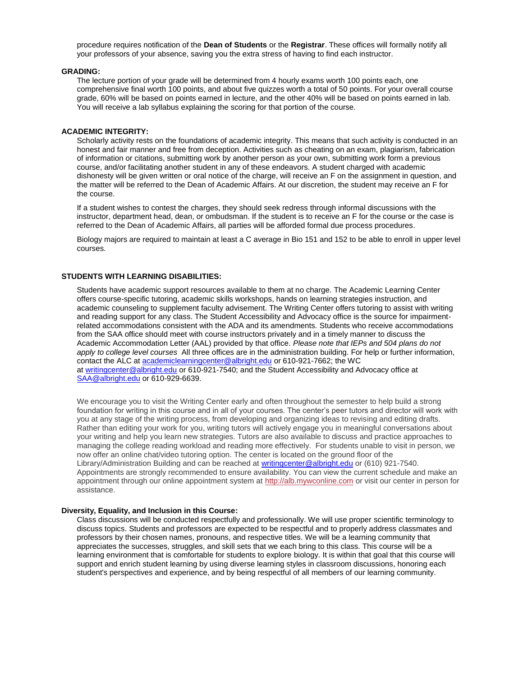procedure requires notification of the **Dean of Students** or the **Registrar**. These offices will formally notify all your professors of your absence, saving you the extra stress of having to find each instructor.

# **GRADING:**

The lecture portion of your grade will be determined from 4 hourly exams worth 100 points each, one comprehensive final worth 100 points, and about five quizzes worth a total of 50 points. For your overall course grade, 60% will be based on points earned in lecture, and the other 40% will be based on points earned in lab. You will receive a lab syllabus explaining the scoring for that portion of the course.

# **ACADEMIC INTEGRITY:**

Scholarly activity rests on the foundations of academic integrity. This means that such activity is conducted in an honest and fair manner and free from deception. Activities such as cheating on an exam, plagiarism, fabrication of information or citations, submitting work by another person as your own, submitting work form a previous course, and/or facilitating another student in any of these endeavors. A student charged with academic dishonesty will be given written or oral notice of the charge, will receive an F on the assignment in question, and the matter will be referred to the Dean of Academic Affairs. At our discretion, the student may receive an F for the course.

If a student wishes to contest the charges, they should seek redress through informal discussions with the instructor, department head, dean, or ombudsman. If the student is to receive an F for the course or the case is referred to the Dean of Academic Affairs, all parties will be afforded formal due process procedures.

Biology majors are required to maintain at least a C average in Bio 151 and 152 to be able to enroll in upper level courses.

### **STUDENTS WITH LEARNING DISABILITIES:**

Students have academic support resources available to them at no charge. The Academic Learning Center offers course-specific tutoring, academic skills workshops, hands on learning strategies instruction, and academic counseling to supplement faculty advisement. The Writing Center offers tutoring to assist with writing and reading support for any class. The Student Accessibility and Advocacy office is the source for impairmentrelated accommodations consistent with the ADA and its amendments. Students who receive accommodations from the SAA office should meet with course instructors privately and in a timely manner to discuss the Academic Accommodation Letter (AAL) provided by that office. *Please note that IEPs and 504 plans do not apply to college level courses* All three offices are in the administration building. For help or further information, contact the ALC at [academiclearningcenter@albright.edu](mailto:academiclearningcenter@albright.edu) or 610-921-7662; the WC at [writingcenter@albright.edu](mailto:writingcenter@albright.edu) or 610-921-7540; and the Student Accessibility and Advocacy office at [SAA@albright.edu](mailto:SAA@albright.edu) or 610-929-6639.

We encourage you to visit the Writing Center early and often throughout the semester to help build a strong foundation for writing in this course and in all of your courses. The center's peer tutors and director will work with you at any stage of the writing process, from developing and organizing ideas to revising and editing drafts. Rather than editing your work for you, writing tutors will actively engage you in meaningful conversations about your writing and help you learn new strategies. Tutors are also available to discuss and practice approaches to managing the college reading workload and reading more effectively. For students unable to visit in person, we now offer an online chat/video tutoring option. The center is located on the ground floor of the Library/Administration Building and can be reached at [writingcenter@albright.edu](mailto:writingcenter@albright.edu) or (610) 921-7540. Appointments are strongly recommended to ensure availability. You can view the current schedule and make an appointment through our online appointment system at [http://alb.mywconline.com](http://alb.mywconline.com/) or visit our center in person for assistance.

### **Diversity, Equality, and Inclusion in this Course:**

Class discussions will be conducted respectfully and professionally. We will use proper scientific terminology to discuss topics. Students and professors are expected to be respectful and to properly address classmates and professors by their chosen names, pronouns, and respective titles. We will be a learning community that appreciates the successes, struggles, and skill sets that we each bring to this class. This course will be a learning environment that is comfortable for students to explore biology. It is within that goal that this course will support and enrich student learning by using diverse learning styles in classroom discussions, honoring each student's perspectives and experience, and by being respectful of all members of our learning community.